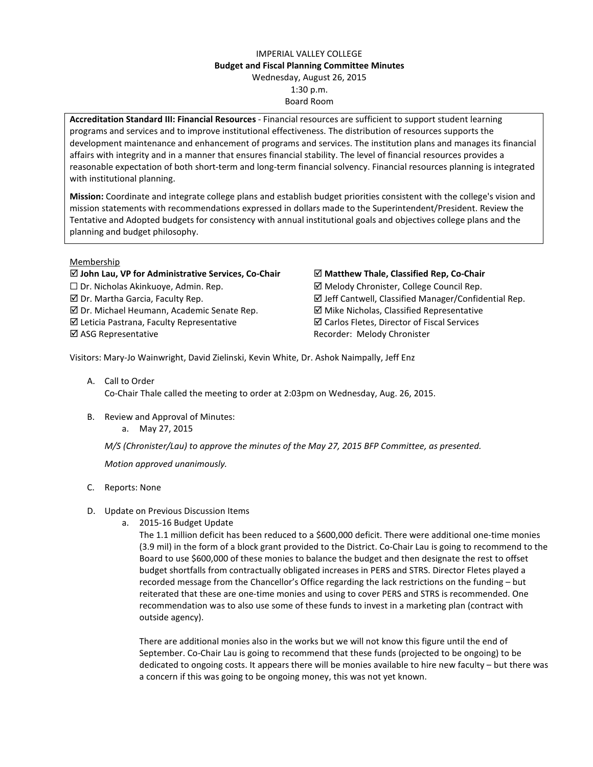## IMPERIAL VALLEY COLLEGE Budget and Fiscal Planning Committee Minutes Wednesday, August 26, 2015 1:30 p.m. Board Room

Accreditation Standard III: Financial Resources - Financial resources are sufficient to support student learning programs and services and to improve institutional effectiveness. The distribution of resources supports the development maintenance and enhancement of programs and services. The institution plans and manages its financial affairs with integrity and in a manner that ensures financial stability. The level of financial resources provides a reasonable expectation of both short-term and long-term financial solvency. Financial resources planning is integrated with institutional planning.

Mission: Coordinate and integrate college plans and establish budget priorities consistent with the college's vision and mission statements with recommendations expressed in dollars made to the Superintendent/President. Review the Tentative and Adopted budgets for consistency with annual institutional goals and objectives college plans and the planning and budget philosophy.

## Membership

## $\boxtimes$  John Lau, VP for Administrative Services, Co-Chair  $\boxtimes$  Matthew Thale, Classified Rep, Co-Chair  $\square$  Dr. Nicholas Akinkuoye, Admin. Rep.  $\square$  Melody Chronister, College Council Rep.  $\boxtimes$  Dr. Martha Garcia, Faculty Rep.  $\boxtimes$  Jeff Cantwell, Classified Manager/Confidential Rep.  $\boxtimes$  Dr. Michael Heumann, Academic Senate Rep.  $\boxtimes$  Mike Nicholas, Classified Representative  $\boxtimes$  Leticia Pastrana, Faculty Representative  $\boxtimes$  Carlos Fletes, Director of Fiscal Services  $\boxtimes$  **ASG Representative Construction Executes** Recorder: Melody Chronister

Visitors: Mary-Jo Wainwright, David Zielinski, Kevin White, Dr. Ashok Naimpally, Jeff Enz

- A. Call to Order Co-Chair Thale called the meeting to order at 2:03pm on Wednesday, Aug. 26, 2015.
- B. Review and Approval of Minutes: a. May 27, 2015

M/S (Chronister/Lau) to approve the minutes of the May 27, 2015 BFP Committee, as presented.

Motion approved unanimously.

- C. Reports: None
- D. Update on Previous Discussion Items
	- a. 2015-16 Budget Update

The 1.1 million deficit has been reduced to a \$600,000 deficit. There were additional one-time monies (3.9 mil) in the form of a block grant provided to the District. Co-Chair Lau is going to recommend to the Board to use \$600,000 of these monies to balance the budget and then designate the rest to offset budget shortfalls from contractually obligated increases in PERS and STRS. Director Fletes played a recorded message from the Chancellor's Office regarding the lack restrictions on the funding – but reiterated that these are one-time monies and using to cover PERS and STRS is recommended. One recommendation was to also use some of these funds to invest in a marketing plan (contract with outside agency).

There are additional monies also in the works but we will not know this figure until the end of September. Co-Chair Lau is going to recommend that these funds (projected to be ongoing) to be dedicated to ongoing costs. It appears there will be monies available to hire new faculty – but there was a concern if this was going to be ongoing money, this was not yet known.